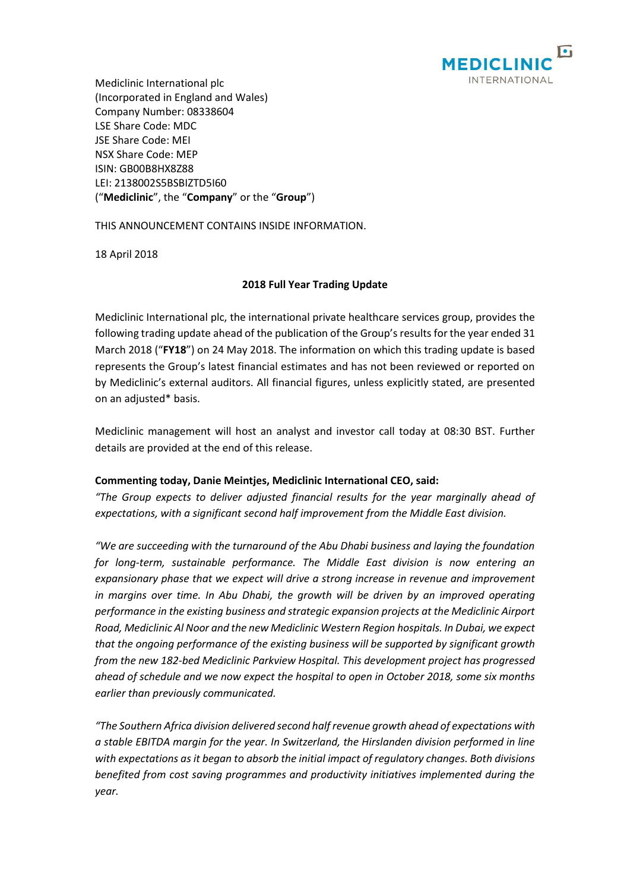

Mediclinic International plc (Incorporated in England and Wales) Company Number: 08338604 LSE Share Code: MDC JSE Share Code: MEI NSX Share Code: MEP ISIN: GB00B8HX8Z88 LEI: 2138002S5BSBIZTD5I60 ("**Mediclinic**", the "**Company**" or the "**Group**")

THIS ANNOUNCEMENT CONTAINS INSIDE INFORMATION.

18 April 2018

# **2018 Full Year Trading Update**

Mediclinic International plc, the international private healthcare services group, provides the following trading update ahead of the publication of the Group's results for the year ended 31 March 2018 ("**FY18**") on 24 May 2018. The information on which this trading update is based represents the Group's latest financial estimates and has not been reviewed or reported on by Mediclinic's external auditors. All financial figures, unless explicitly stated, are presented on an adjusted\* basis.

Mediclinic management will host an analyst and investor call today at 08:30 BST. Further details are provided at the end of this release.

# **Commenting today, Danie Meintjes, Mediclinic International CEO, said:**

*"The Group expects to deliver adjusted financial results for the year marginally ahead of expectations, with a significant second half improvement from the Middle East division.*

*"We are succeeding with the turnaround of the Abu Dhabi business and laying the foundation for long-term, sustainable performance. The Middle East division is now entering an expansionary phase that we expect will drive a strong increase in revenue and improvement in margins over time. In Abu Dhabi, the growth will be driven by an improved operating performance in the existing business and strategic expansion projects at the Mediclinic Airport Road, Mediclinic Al Noor and the new Mediclinic Western Region hospitals. In Dubai, we expect that the ongoing performance of the existing business will be supported by significant growth from the new 182-bed Mediclinic Parkview Hospital. This development project has progressed ahead of schedule and we now expect the hospital to open in October 2018, some six months earlier than previously communicated.*

*"The Southern Africa division delivered second half revenue growth ahead of expectations with a stable EBITDA margin for the year. In Switzerland, the Hirslanden division performed in line with expectations as it began to absorb the initial impact of regulatory changes. Both divisions benefited from cost saving programmes and productivity initiatives implemented during the year.*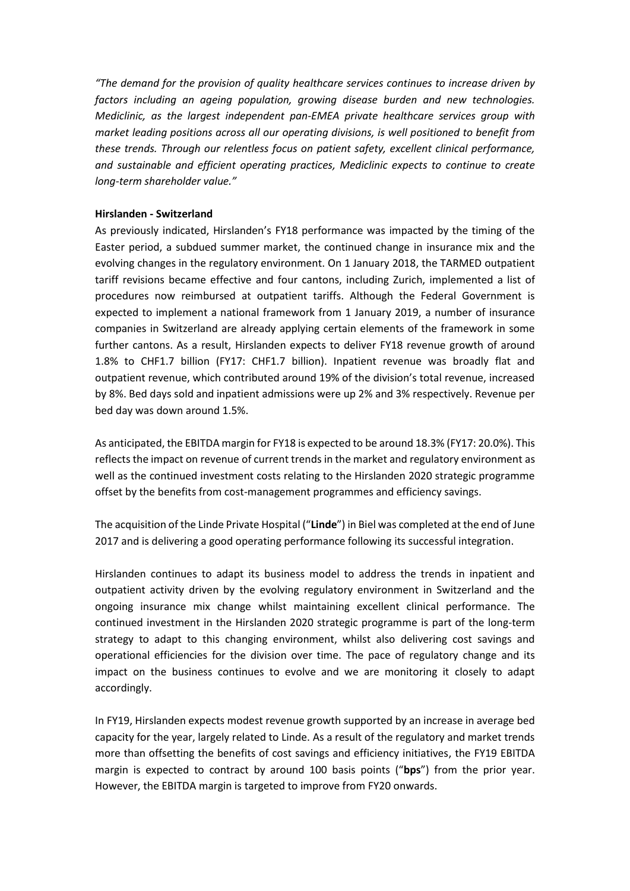*"The demand for the provision of quality healthcare services continues to increase driven by factors including an ageing population, growing disease burden and new technologies. Mediclinic, as the largest independent pan-EMEA private healthcare services group with market leading positions across all our operating divisions, is well positioned to benefit from these trends. Through our relentless focus on patient safety, excellent clinical performance, and sustainable and efficient operating practices, Mediclinic expects to continue to create long-term shareholder value."*

## **Hirslanden - Switzerland**

As previously indicated, Hirslanden's FY18 performance was impacted by the timing of the Easter period, a subdued summer market, the continued change in insurance mix and the evolving changes in the regulatory environment. On 1 January 2018, the TARMED outpatient tariff revisions became effective and four cantons, including Zurich, implemented a list of procedures now reimbursed at outpatient tariffs. Although the Federal Government is expected to implement a national framework from 1 January 2019, a number of insurance companies in Switzerland are already applying certain elements of the framework in some further cantons. As a result, Hirslanden expects to deliver FY18 revenue growth of around 1.8% to CHF1.7 billion (FY17: CHF1.7 billion). Inpatient revenue was broadly flat and outpatient revenue, which contributed around 19% of the division's total revenue, increased by 8%. Bed days sold and inpatient admissions were up 2% and 3% respectively. Revenue per bed day was down around 1.5%.

As anticipated, the EBITDA margin for FY18 is expected to be around 18.3% (FY17: 20.0%). This reflects the impact on revenue of current trends in the market and regulatory environment as well as the continued investment costs relating to the Hirslanden 2020 strategic programme offset by the benefits from cost-management programmes and efficiency savings.

The acquisition of the Linde Private Hospital ("**Linde**") in Biel was completed at the end of June 2017 and is delivering a good operating performance following its successful integration.

Hirslanden continues to adapt its business model to address the trends in inpatient and outpatient activity driven by the evolving regulatory environment in Switzerland and the ongoing insurance mix change whilst maintaining excellent clinical performance. The continued investment in the Hirslanden 2020 strategic programme is part of the long-term strategy to adapt to this changing environment, whilst also delivering cost savings and operational efficiencies for the division over time. The pace of regulatory change and its impact on the business continues to evolve and we are monitoring it closely to adapt accordingly.

In FY19, Hirslanden expects modest revenue growth supported by an increase in average bed capacity for the year, largely related to Linde. As a result of the regulatory and market trends more than offsetting the benefits of cost savings and efficiency initiatives, the FY19 EBITDA margin is expected to contract by around 100 basis points ("**bps**") from the prior year. However, the EBITDA margin is targeted to improve from FY20 onwards.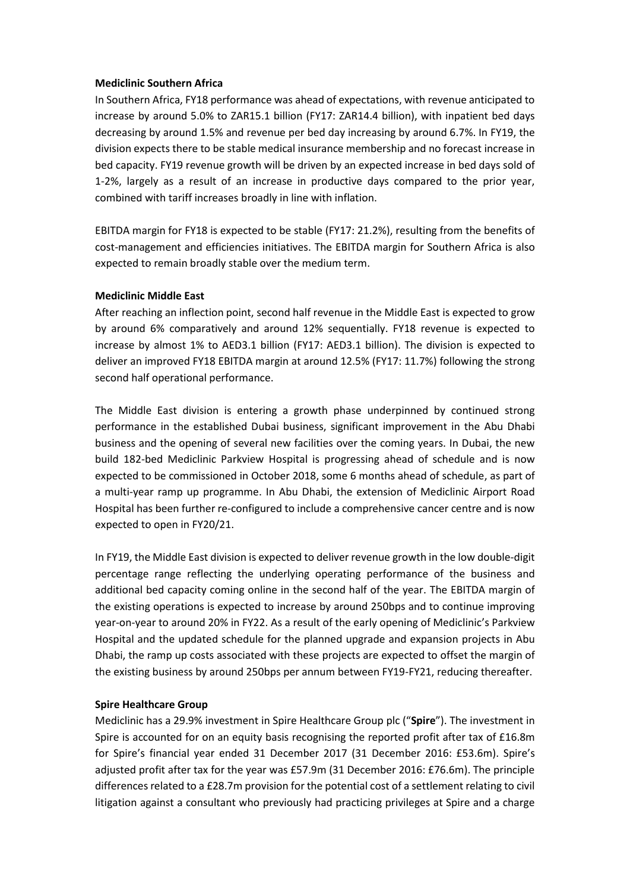### **Mediclinic Southern Africa**

In Southern Africa, FY18 performance was ahead of expectations, with revenue anticipated to increase by around 5.0% to ZAR15.1 billion (FY17: ZAR14.4 billion), with inpatient bed days decreasing by around 1.5% and revenue per bed day increasing by around 6.7%. In FY19, the division expects there to be stable medical insurance membership and no forecast increase in bed capacity. FY19 revenue growth will be driven by an expected increase in bed days sold of 1-2%, largely as a result of an increase in productive days compared to the prior year, combined with tariff increases broadly in line with inflation.

EBITDA margin for FY18 is expected to be stable (FY17: 21.2%), resulting from the benefits of cost-management and efficiencies initiatives. The EBITDA margin for Southern Africa is also expected to remain broadly stable over the medium term.

# **Mediclinic Middle East**

After reaching an inflection point, second half revenue in the Middle East is expected to grow by around 6% comparatively and around 12% sequentially. FY18 revenue is expected to increase by almost 1% to AED3.1 billion (FY17: AED3.1 billion). The division is expected to deliver an improved FY18 EBITDA margin at around 12.5% (FY17: 11.7%) following the strong second half operational performance.

The Middle East division is entering a growth phase underpinned by continued strong performance in the established Dubai business, significant improvement in the Abu Dhabi business and the opening of several new facilities over the coming years. In Dubai, the new build 182-bed Mediclinic Parkview Hospital is progressing ahead of schedule and is now expected to be commissioned in October 2018, some 6 months ahead of schedule, as part of a multi-year ramp up programme. In Abu Dhabi, the extension of Mediclinic Airport Road Hospital has been further re-configured to include a comprehensive cancer centre and is now expected to open in FY20/21.

In FY19, the Middle East division is expected to deliver revenue growth in the low double-digit percentage range reflecting the underlying operating performance of the business and additional bed capacity coming online in the second half of the year. The EBITDA margin of the existing operations is expected to increase by around 250bps and to continue improving year-on-year to around 20% in FY22. As a result of the early opening of Mediclinic's Parkview Hospital and the updated schedule for the planned upgrade and expansion projects in Abu Dhabi, the ramp up costs associated with these projects are expected to offset the margin of the existing business by around 250bps per annum between FY19-FY21, reducing thereafter.

# **Spire Healthcare Group**

Mediclinic has a 29.9% investment in Spire Healthcare Group plc ("**Spire**"). The investment in Spire is accounted for on an equity basis recognising the reported profit after tax of £16.8m for Spire's financial year ended 31 December 2017 (31 December 2016: £53.6m). Spire's adjusted profit after tax for the year was £57.9m (31 December 2016: £76.6m). The principle differences related to a £28.7m provision for the potential cost of a settlement relating to civil litigation against a consultant who previously had practicing privileges at Spire and a charge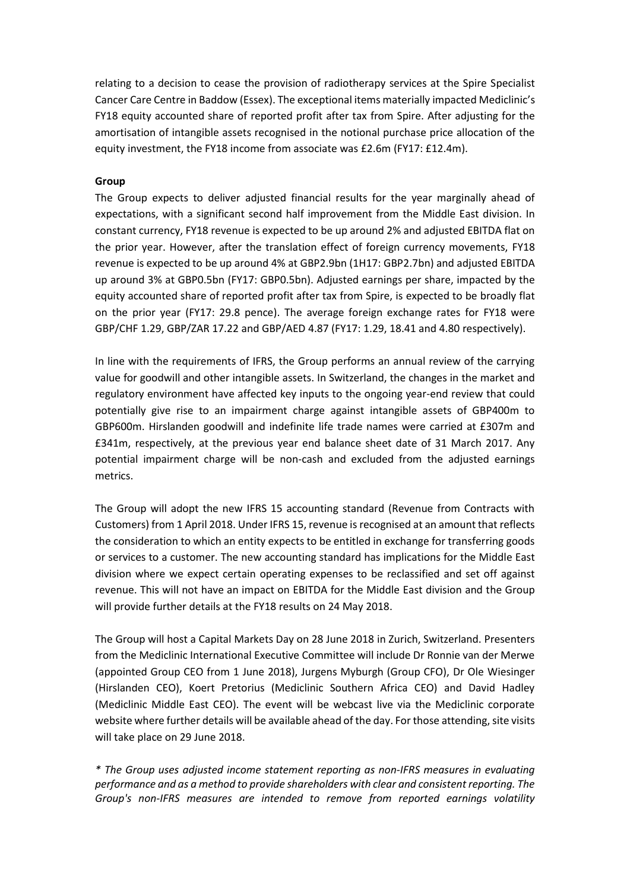relating to a decision to cease the provision of radiotherapy services at the Spire Specialist Cancer Care Centre in Baddow (Essex). The exceptional items materially impacted Mediclinic's FY18 equity accounted share of reported profit after tax from Spire. After adjusting for the amortisation of intangible assets recognised in the notional purchase price allocation of the equity investment, the FY18 income from associate was £2.6m (FY17: £12.4m).

## **Group**

The Group expects to deliver adjusted financial results for the year marginally ahead of expectations, with a significant second half improvement from the Middle East division. In constant currency, FY18 revenue is expected to be up around 2% and adjusted EBITDA flat on the prior year. However, after the translation effect of foreign currency movements, FY18 revenue is expected to be up around 4% at GBP2.9bn (1H17: GBP2.7bn) and adjusted EBITDA up around 3% at GBP0.5bn (FY17: GBP0.5bn). Adjusted earnings per share, impacted by the equity accounted share of reported profit after tax from Spire, is expected to be broadly flat on the prior year (FY17: 29.8 pence). The average foreign exchange rates for FY18 were GBP/CHF 1.29, GBP/ZAR 17.22 and GBP/AED 4.87 (FY17: 1.29, 18.41 and 4.80 respectively).

In line with the requirements of IFRS, the Group performs an annual review of the carrying value for goodwill and other intangible assets. In Switzerland, the changes in the market and regulatory environment have affected key inputs to the ongoing year-end review that could potentially give rise to an impairment charge against intangible assets of GBP400m to GBP600m. Hirslanden goodwill and indefinite life trade names were carried at £307m and £341m, respectively, at the previous year end balance sheet date of 31 March 2017. Any potential impairment charge will be non-cash and excluded from the adjusted earnings metrics.

The Group will adopt the new IFRS 15 accounting standard (Revenue from Contracts with Customers) from 1 April 2018. Under IFRS 15, revenue is recognised at an amount that reflects the consideration to which an entity expects to be entitled in exchange for transferring goods or services to a customer. The new accounting standard has implications for the Middle East division where we expect certain operating expenses to be reclassified and set off against revenue. This will not have an impact on EBITDA for the Middle East division and the Group will provide further details at the FY18 results on 24 May 2018.

The Group will host a Capital Markets Day on 28 June 2018 in Zurich, Switzerland. Presenters from the Mediclinic International Executive Committee will include Dr Ronnie van der Merwe (appointed Group CEO from 1 June 2018), Jurgens Myburgh (Group CFO), Dr Ole Wiesinger (Hirslanden CEO), Koert Pretorius (Mediclinic Southern Africa CEO) and David Hadley (Mediclinic Middle East CEO). The event will be webcast live via the Mediclinic corporate website where further details will be available ahead of the day. For those attending, site visits will take place on 29 June 2018.

*\* The Group uses adjusted income statement reporting as non-IFRS measures in evaluating performance and as a method to provide shareholders with clear and consistent reporting. The Group's non-IFRS measures are intended to remove from reported earnings volatility*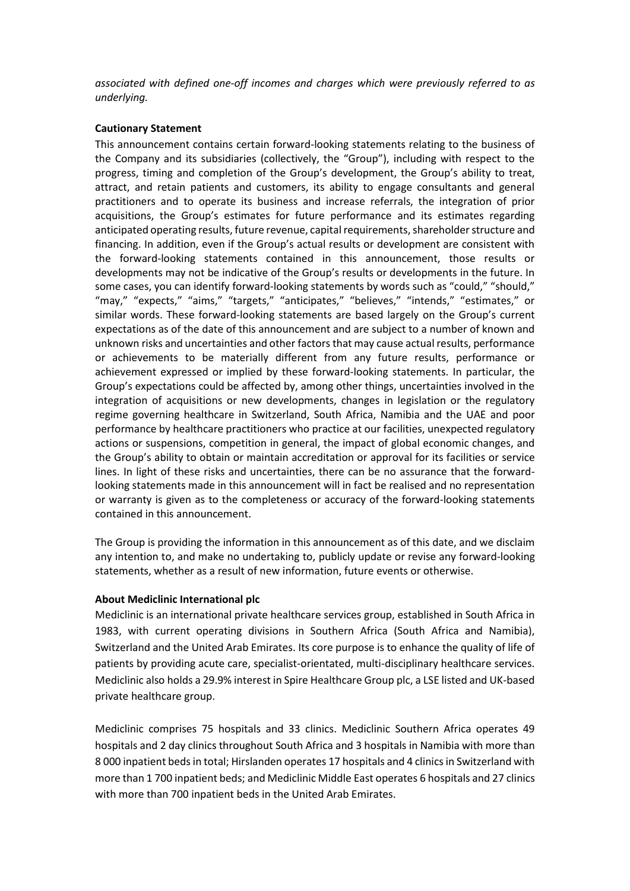*associated with defined one-off incomes and charges which were previously referred to as underlying.*

# **Cautionary Statement**

This announcement contains certain forward-looking statements relating to the business of the Company and its subsidiaries (collectively, the "Group"), including with respect to the progress, timing and completion of the Group's development, the Group's ability to treat, attract, and retain patients and customers, its ability to engage consultants and general practitioners and to operate its business and increase referrals, the integration of prior acquisitions, the Group's estimates for future performance and its estimates regarding anticipated operating results, future revenue, capital requirements, shareholder structure and financing. In addition, even if the Group's actual results or development are consistent with the forward-looking statements contained in this announcement, those results or developments may not be indicative of the Group's results or developments in the future. In some cases, you can identify forward-looking statements by words such as "could," "should," "may," "expects," "aims," "targets," "anticipates," "believes," "intends," "estimates," or similar words. These forward-looking statements are based largely on the Group's current expectations as of the date of this announcement and are subject to a number of known and unknown risks and uncertainties and other factors that may cause actual results, performance or achievements to be materially different from any future results, performance or achievement expressed or implied by these forward-looking statements. In particular, the Group's expectations could be affected by, among other things, uncertainties involved in the integration of acquisitions or new developments, changes in legislation or the regulatory regime governing healthcare in Switzerland, South Africa, Namibia and the UAE and poor performance by healthcare practitioners who practice at our facilities, unexpected regulatory actions or suspensions, competition in general, the impact of global economic changes, and the Group's ability to obtain or maintain accreditation or approval for its facilities or service lines. In light of these risks and uncertainties, there can be no assurance that the forwardlooking statements made in this announcement will in fact be realised and no representation or warranty is given as to the completeness or accuracy of the forward-looking statements contained in this announcement.

The Group is providing the information in this announcement as of this date, and we disclaim any intention to, and make no undertaking to, publicly update or revise any forward-looking statements, whether as a result of new information, future events or otherwise.

# **About Mediclinic International plc**

Mediclinic is an international private healthcare services group, established in South Africa in 1983, with current operating divisions in Southern Africa (South Africa and Namibia), Switzerland and the United Arab Emirates. Its core purpose is to enhance the quality of life of patients by providing acute care, specialist-orientated, multi-disciplinary healthcare services. Mediclinic also holds a 29.9% interest in Spire Healthcare Group plc, a LSE listed and UK-based private healthcare group.

Mediclinic comprises 75 hospitals and 33 clinics. Mediclinic Southern Africa operates 49 hospitals and 2 day clinics throughout South Africa and 3 hospitals in Namibia with more than 8 000 inpatient beds in total; Hirslanden operates 17 hospitals and 4 clinics in Switzerland with more than 1 700 inpatient beds; and Mediclinic Middle East operates 6 hospitals and 27 clinics with more than 700 inpatient beds in the United Arab Emirates.